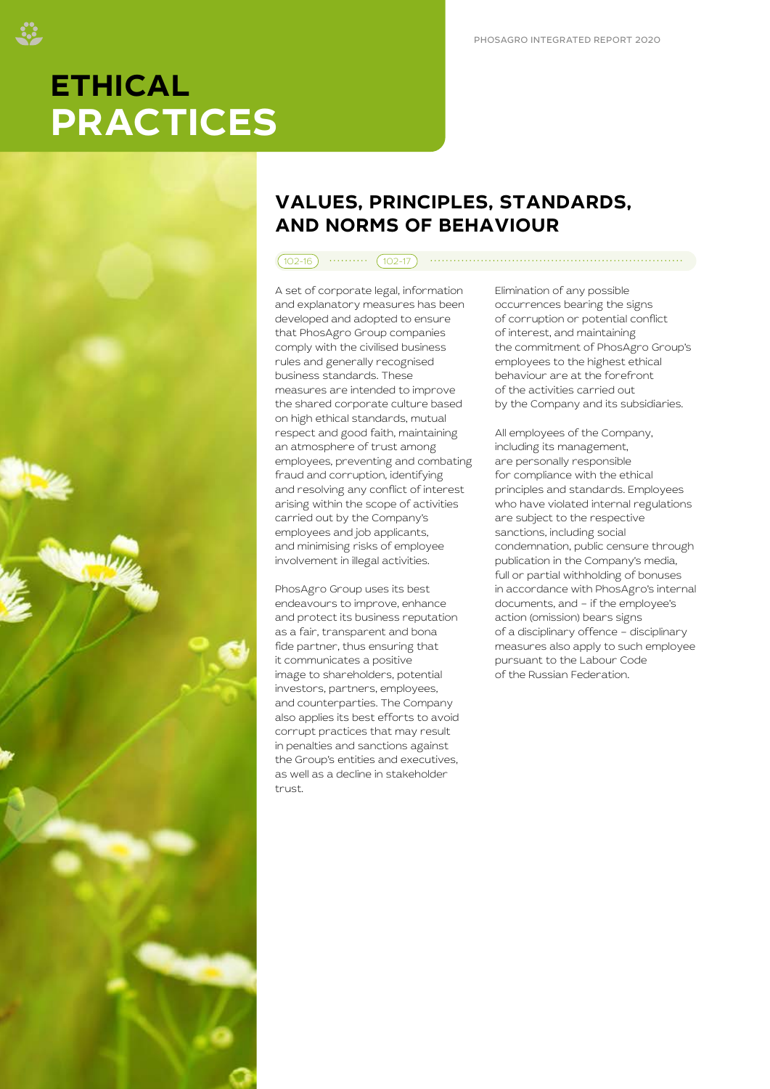# **ETHICAL PRACTICES**



# **VALUES, PRINCIPLES, STANDARDS, AND NORMS OF BEHAVIOUR**

#### 102-16 102-17

A set of corporate legal, information and explanatory measures has been developed and adopted to ensure that PhosAgro Group companies comply with the civilised business rules and generally recognised business standards. These measures are intended to improve the shared corporate culture based on high ethical standards, mutual respect and good faith, maintaining an atmosphere of trust among employees, preventing and combating fraud and corruption, identifying and resolving any conflict of interest arising within the scope of activities carried out by the Company's employees and job applicants, and minimising risks of employee involvement in illegal activities.

PhosAgro Group uses its best endeavours to improve, enhance and protect its business reputation as a fair, transparent and bona fide partner, thus ensuring that it communicates a positive image to shareholders, potential investors, partners, employees, and counterparties. The Company also applies its best efforts to avoid corrupt practices that may result in penalties and sanctions against the Group's entities and executives, as well as a decline in stakeholder trust.

Elimination of any possible occurrences bearing the signs of corruption or potential conflict of interest, and maintaining the commitment of PhosAgro Group's employees to the highest ethical behaviour are at the forefront of the activities carried out by the Company and its subsidiaries.

All employees of the Company, including its management, are personally responsible for compliance with the ethical principles and standards. Employees who have violated internal regulations are subject to the respective sanctions, including social condemnation, public censure through publication in the Company's media, full or partial withholding of bonuses in accordance with PhosAgro's internal documents, and – if the employee's action (omission) bears signs of a disciplinary offence – disciplinary measures also apply to such employee pursuant to the Labour Code of the Russian Federation.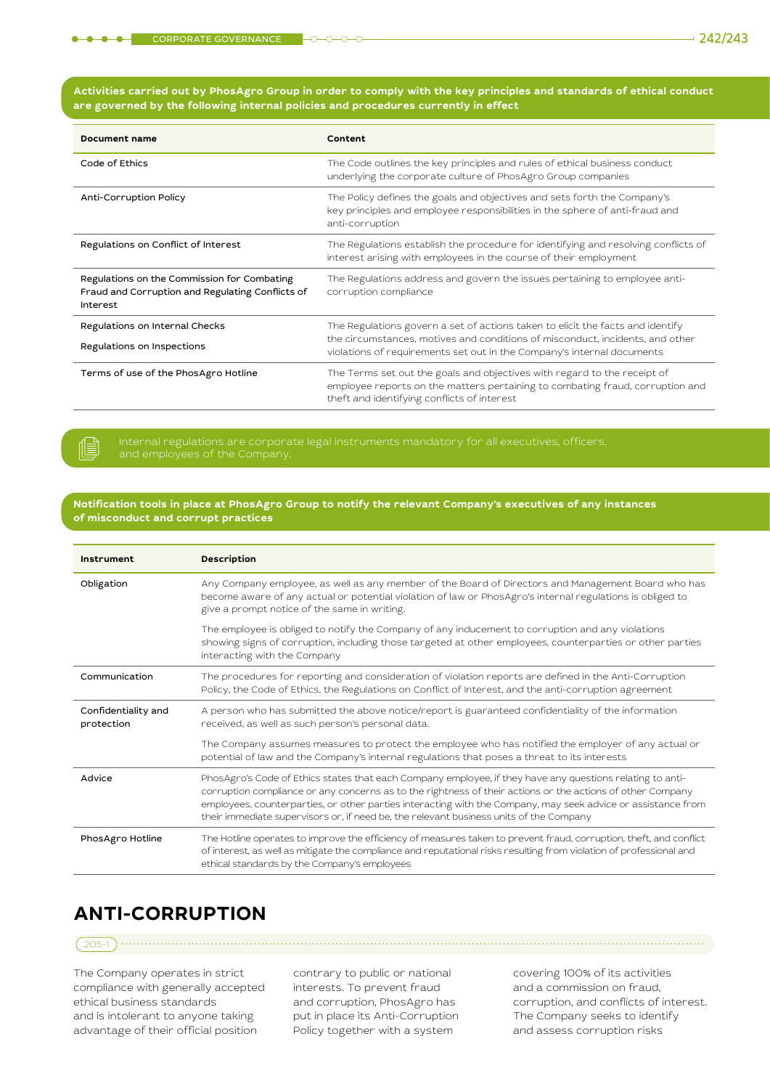但

| <b>Document name</b>                                                                                        | Content                                                                                                                                                                                                                                   |
|-------------------------------------------------------------------------------------------------------------|-------------------------------------------------------------------------------------------------------------------------------------------------------------------------------------------------------------------------------------------|
| Code of Ethics                                                                                              | The Code outlines the key principles and rules of ethical business conduct<br>underlying the corporate culture of PhosAgro Group companies                                                                                                |
| Anti-Corruption Policy                                                                                      | The Policy defines the goals and objectives and sets forth the Company's<br>key principles and employee responsibilities in the sphere of anti-fraud and<br>anti-corruption                                                               |
| Regulations on Conflict of Interest                                                                         | The Regulations establish the procedure for identifying and resolving conflicts of<br>interest arising with employees in the course of their employment                                                                                   |
| Regulations on the Commission for Combating<br>Fraud and Corruption and Regulating Conflicts of<br>Interest | The Regulations address and govern the issues pertaining to employee anti-<br>corruption compliance                                                                                                                                       |
| Regulations on Internal Checks<br>Regulations on Inspections                                                | The Regulations govern a set of actions taken to elicit the facts and identify<br>the circumstances, motives and conditions of misconduct, incidents, and other<br>violations of requirements set out in the Company's internal documents |
| Terms of use of the PhosAgro Hotline                                                                        | The Terms set out the goals and objectives with regard to the receipt of<br>employee reports on the matters pertaining to combating fraud, corruption and<br>theft and identifying conflicts of interest                                  |

**Notification tools in place at PhosAgro Group to notify the relevant Company's executives of any instances of misconduct and corrupt practices**

| Instrument                        | Description                                                                                                                                                                                                                                                                                                                                                                                                                       |
|-----------------------------------|-----------------------------------------------------------------------------------------------------------------------------------------------------------------------------------------------------------------------------------------------------------------------------------------------------------------------------------------------------------------------------------------------------------------------------------|
| Obligation                        | Any Company employee, as well as any member of the Board of Directors and Management Board who has<br>become aware of any actual or potential violation of law or PhosAgro's internal regulations is obliged to<br>give a prompt notice of the same in writing.                                                                                                                                                                   |
|                                   | The employee is obliged to notify the Company of any inducement to corruption and any violations<br>showing signs of corruption, including those targeted at other employees, counterparties or other parties<br>interacting with the Company                                                                                                                                                                                     |
| Communication                     | The procedures for reporting and consideration of violation reports are defined in the Anti-Corruption<br>Policy, the Code of Ethics, the Regulations on Conflict of Interest, and the anti-corruption agreement                                                                                                                                                                                                                  |
| Confidentiality and<br>protection | A person who has submitted the above notice/report is guaranteed confidentiality of the information<br>received, as well as such person's personal data.                                                                                                                                                                                                                                                                          |
|                                   | The Company assumes measures to protect the employee who has notified the employer of any actual or<br>potential of law and the Company's internal regulations that poses a threat to its interests                                                                                                                                                                                                                               |
| Advice                            | PhosAgro's Code of Ethics states that each Company employee, if they have any questions relating to anti-<br>corruption compliance or any concerns as to the rightness of their actions or the actions of other Company<br>employees, counterparties, or other parties interacting with the Company, may seek advice or assistance from<br>their immediate supervisors or, if need be, the relevant business units of the Company |
| PhosAgro Hotline                  | The Hotline operates to improve the efficiency of measures taken to prevent fraud, corruption, theft, and conflict<br>of interest, as well as mitigate the compliance and reputational risks resulting from violation of professional and<br>ethical standards by the Company's employees                                                                                                                                         |

# **ANTI-CORRUPTION**

The Company operates in strict compliance with generally accepted ethical business standards and is intolerant to anyone taking advantage of their official position

contrary to public or national interests. To prevent fraud and corruption, PhosAgro has put in place its Anti-Corruption Policy together with a system

205-1

covering 100% of its activities and a commission on fraud, corruption, and conflicts of interest. The Company seeks to identify and assess corruption risks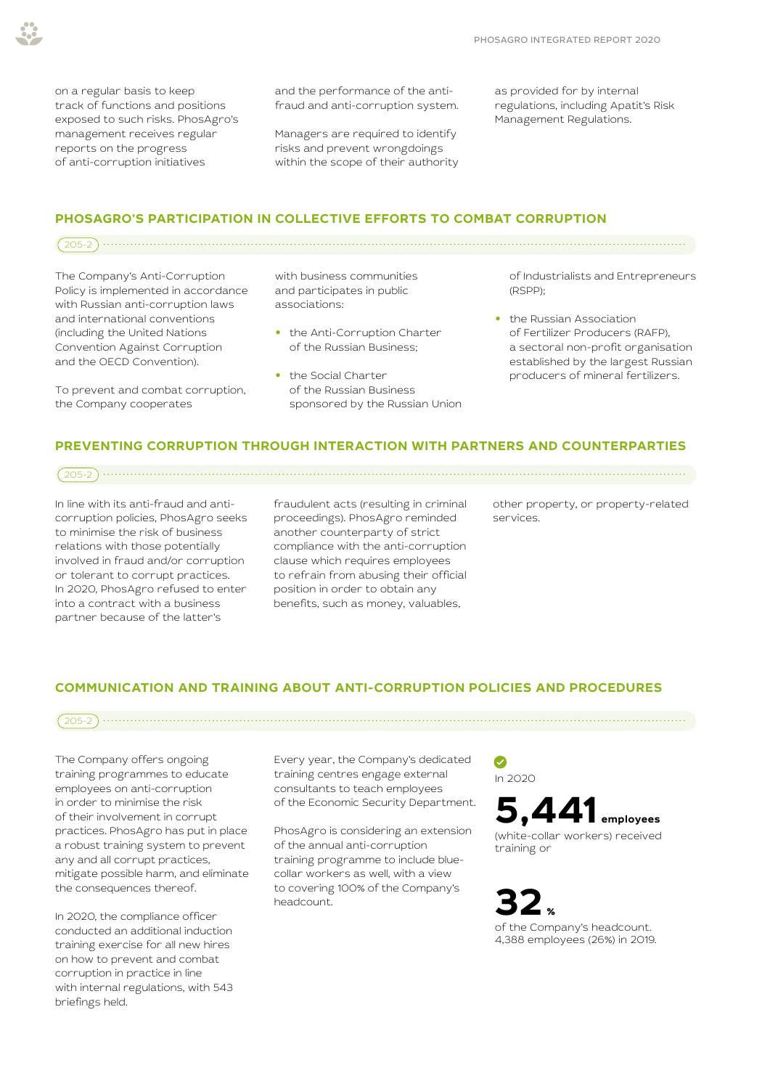on a regular basis to keep track of functions and positions exposed to such risks. PhosAgro's management receives regular reports on the progress of anti-corruption initiatives

and the performance of the antifraud and anti-corruption system.

Managers are required to identify risks and prevent wrongdoings within the scope of their authority as provided for by internal regulations, including Apatit's Risk Management Regulations.

#### **PHOSAGRO'S PARTICIPATION IN COLLECTIVE EFFORTS TO COMBAT CORRUPTION**

 $205-2)$ 

The Company's Anti-Corruption Policy is implemented in accordance with Russian anti-corruption laws and international conventions (including the United Nations Convention Against Corruption and the OECD Convention).

To prevent and combat corruption, the Company cooperates

with business communities and participates in public associations:

- **•** the Anti-Corruption Charter of the Russian Business;
- **•** the Social Charter of the Russian Business sponsored by the Russian Union

of Industrialists and Entrepreneurs (RSPP);

**•** the Russian Association of Fertilizer Producers (RAFP), a sectoral non-profit organisation established by the largest Russian producers of mineral fertilizers.

#### **PREVENTING CORRUPTION THROUGH INTERACTION WITH PARTNERS AND COUNTERPARTIES**

205-2

In line with its anti-fraud and anticorruption policies, PhosAgro seeks to minimise the risk of business relations with those potentially involved in fraud and/or corruption or tolerant to corrupt practices. In 2020, PhosAgro refused to enter into a contract with a business partner because of the latter's

fraudulent acts (resulting in criminal proceedings). PhosAgro reminded another counterparty of strict compliance with the anti-corruption clause which requires employees to refrain from abusing their official position in order to obtain any benefits, such as money, valuables,

other property, or property-related services.

#### **COMMUNICATION AND TRAINING ABOUT ANTI-CORRUPTION POLICIES AND PROCEDURES**

The Company offers ongoing training programmes to educate employees on anti-corruption in order to minimise the risk of their involvement in corrupt practices. PhosAgro has put in place a robust training system to prevent any and all corrupt practices,

mitigate possible harm, and eliminate

the consequences thereof.

In 2020, the compliance officer conducted an additional induction training exercise for all new hires on how to prevent and combat corruption in practice in line with internal regulations, with 543 briefings held.

Every year, the Company's dedicated training centres engage external consultants to teach employees of the Economic Security Department.

205-2

PhosAgro is considering an extension of the annual anti-corruption training programme to include bluecollar workers as well, with a view to covering 100% of the Company's headcount.

#### $\bullet$ In 2020



training or



4,388 employees (26%) in 2019.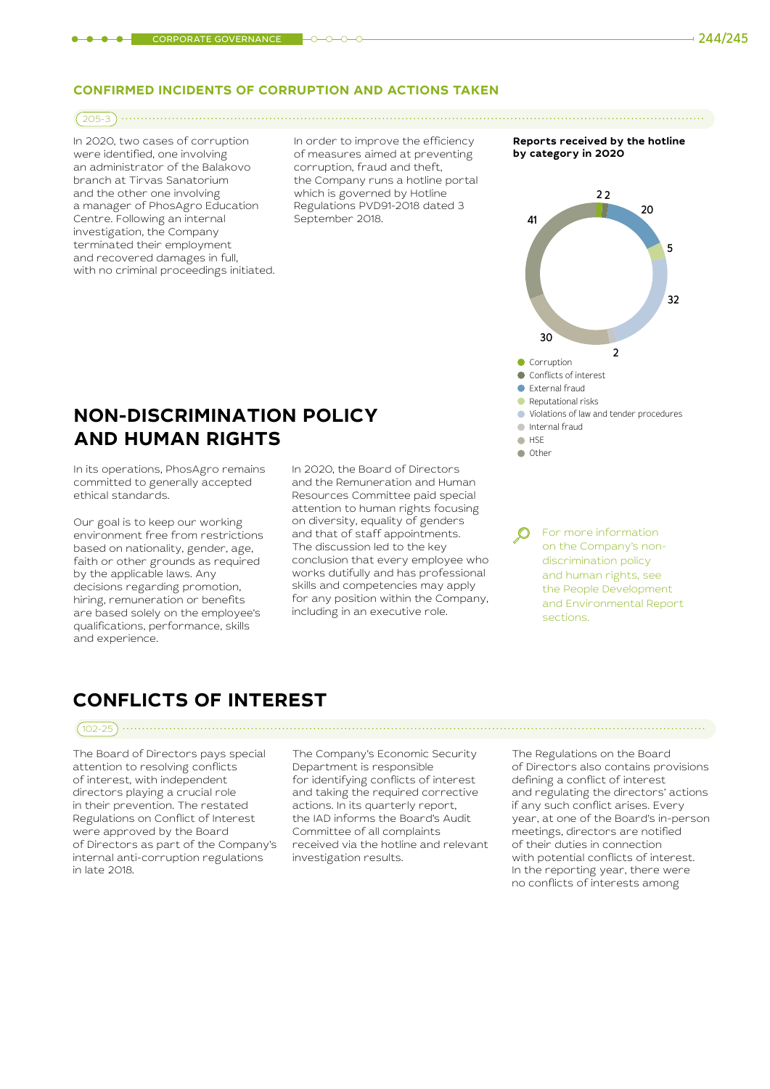#### **CONFIRMED INCIDENTS OF CORRUPTION AND ACTIONS TAKEN**

#### 205-3

In 2020, two cases of corruption were identified, one involving an administrator of the Balakovo branch at Tirvas Sanatorium and the other one involving a manager of PhosAgro Education Centre. Following an internal investigation, the Company terminated their employment and recovered damages in full, with no criminal proceedings initiated. In order to improve the efficiency of measures aimed at preventing corruption, fraud and theft, the Company runs a hotline portal which is governed by Hotline Regulations PVD91-2018 dated 3 September 2018.

**Reports received by the hotline by category in 2020**



#### Other

### **NON-DISCRIMINATION POLICY AND HUMAN RIGHTS**

In its operations, PhosAgro remains committed to generally accepted ethical standards.

Our goal is to keep our working environment free from restrictions based on nationality, gender, age, faith or other grounds as required by the applicable laws. Any decisions regarding promotion, hiring, remuneration or benefits are based solely on the employee's qualifications, performance, skills and experience.

In 2020, the Board of Directors and the Remuneration and Human Resources Committee paid special attention to human rights focusing on diversity, equality of genders and that of staff appointments. The discussion led to the key conclusion that every employee who works dutifully and has professional skills and competencies may apply for any position within the Company, including in an executive role.

For more information on the Company's nondiscrimination policy and human rights, see the People Development and Environmental Report sections.

## **CONFLICTS OF INTEREST**

### 102-25

The Board of Directors pays special attention to resolving conflicts of interest, with independent directors playing a crucial role in their prevention. The restated Regulations on Conflict of Interest were approved by the Board of Directors as part of the Company's internal anti-corruption regulations in late 2018.

The Company's Economic Security Department is responsible for identifying conflicts of interest and taking the required corrective actions. In its quarterly report, the IAD informs the Board's Audit Committee of all complaints received via the hotline and relevant investigation results.

The Regulations on the Board of Directors also contains provisions defining a conflict of interest and regulating the directors' actions if any such conflict arises. Every year, at one of the Board's in-person meetings, directors are notified of their duties in connection with potential conflicts of interest. In the reporting year, there were no conflicts of interests among